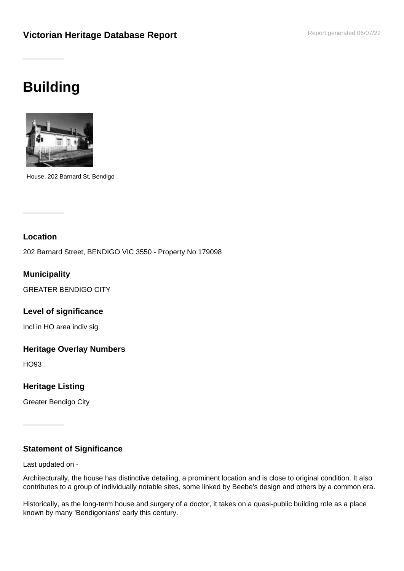## **Building**



House, 202 Barnard St, Bendigo

## **Location**

202 Barnard Street, BENDIGO VIC 3550 - Property No 179098

**Municipality**

GREATER BENDIGO CITY

**Level of significance**

Incl in HO area indiv sig

## **Heritage Overlay Numbers**

HO93

**Heritage Listing**

Greater Bendigo City

## **Statement of Significance**

Last updated on -

Architecturally, the house has distinctive detailing, a prominent location and is close to original condition. It also contributes to a group of individually notable sites, some linked by Beebe's design and others by a common era.

Historically, as the long-term house and surgery of a doctor, it takes on a quasi-public building role as a place known by many 'Bendigonians' early this century.